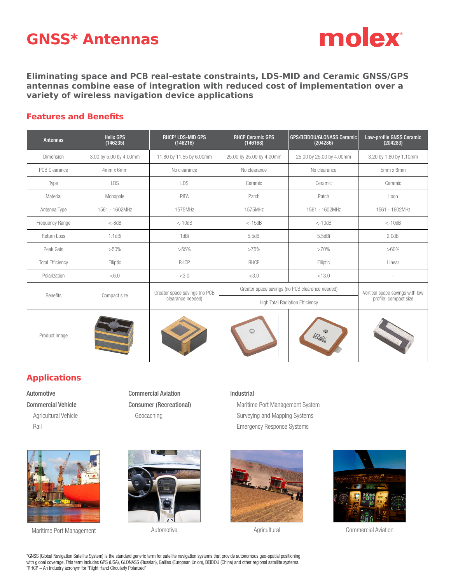# **GNSS\* Antennas**



**Eliminating space and PCB real-estate constraints, LDS-MID and Ceramic GNSS/GPS antennas combine ease of integration with reduced cost of implementation over a variety of wireless navigation device applications**

### **Features and Benefits**

| <b>Antennas</b>         | <b>Helix GPS</b><br>(146235) | <b>RHCP<sup>+</sup> LDS-MID GPS</b><br>(146216)    | <b>RHCP Ceramic GPS</b><br>(146168)             | GPS/BEIDOU/GLONASS Ceramic<br>(204286) | Low-profile GNSS Ceramic<br>(204283)                     |
|-------------------------|------------------------------|----------------------------------------------------|-------------------------------------------------|----------------------------------------|----------------------------------------------------------|
| Dimension               | 3.00 by 5.00 by 4.00mm       | 11.80 by 11.55 by 6.00mm                           | 25.00 by 25.00 by 4.00mm                        | 25.00 by 25.00 by 4.00mm               | 3.20 by 1.60 by 1.10mm                                   |
| <b>PCB Clearance</b>    | 4mm x 6mm                    | No clearance                                       | No clearance                                    | No clearance                           | 5mm x 6mm                                                |
| Type                    | LDS                          | LDS                                                | Ceramic                                         | Ceramic                                | Ceramic                                                  |
| Material                | Monopole                     | PIFA                                               | Patch                                           | Patch                                  | Loop                                                     |
| Antenna Type            | 1561 - 1602MHz               | 1575MHz                                            | 1575MHz                                         | 1561 - 1602MHz                         | 1561 - 1602MHz                                           |
| Frequency Range         | $< -8$ d $B$                 | $< -10dB$                                          | $< -15dB$                                       | $<-10dB$                               | $< -10dB$                                                |
| Return Loss             | $1.1$ d $Bi$                 | 1dBi                                               | 5.5dBi                                          | 5.5dBi                                 | 2.0dBi                                                   |
| Peak Gain               | $>50\%$                      | $>55\%$                                            | >75%                                            | >70%                                   | $>60\%$                                                  |
| <b>Total Efficiency</b> | Elliptic                     | <b>RHCP</b>                                        | <b>RHCP</b>                                     | Elliptic                               | Linear                                                   |
| Polarization            | < 6.0                        | <3.0                                               | <3.0                                            | < 13.0                                 |                                                          |
| <b>Benefits</b>         | Compact size                 | Greater space savings (no PCB<br>clearance needed) | Greater space savings (no PCB clearance needed) |                                        | Vertical space savings with low<br>profile; compact size |
|                         |                              |                                                    | <b>High Total Radiation Efficiency</b>          |                                        |                                                          |
| Product Image           |                              |                                                    |                                                 |                                        |                                                          |

# **Applications**

Automotive Commercial Vehicle Agricultural Vehicle Rail

Commercial Aviation Consumer (Recreational) Geocaching

#### Industrial

 Maritime Port Management System Surveying and Mapping Systems Emergency Response Systems



Maritime Port Management **Automotive** Automotive Automotive Agricultural Agricultural Commercial Aviation







\*GNSS (Global Navigation Satellite System) is the standard generic term for satellite navigation systems that provide autonomous geo-spatial positioning with global coverage. This term includes GPS (USA), GLONASS (Russian), Galileo (European Union), BEIDOU (China) and other regional satellite systems. † RHCP – An industry acronym for "Right Hand Circularly Polarized"